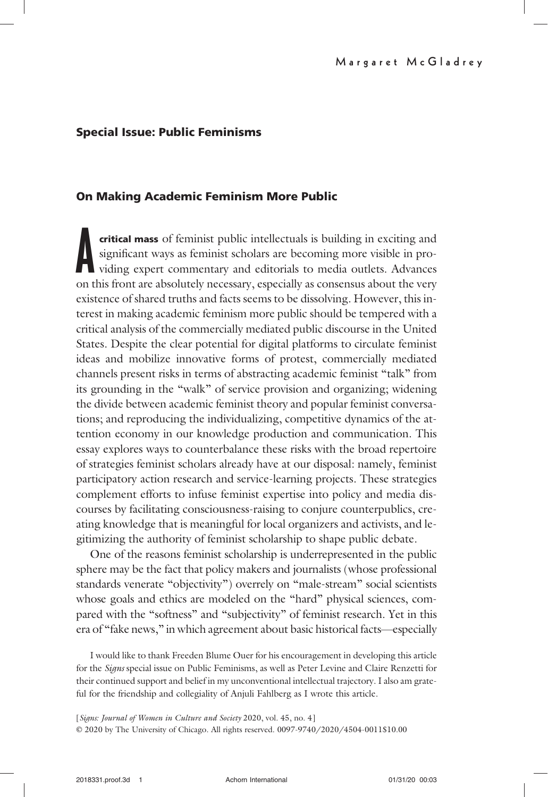# Special Issue: Public Feminisms

# On Making Academic Feminism More Public

**critical mass** of feminist public intellectuals is building in exciting and significant ways as feminist scholars are becoming more visible in providing expert commentary and editorials to media outlets. Advances on this critical mass of feminist public intellectuals is building in exciting and significant ways as feminist scholars are becoming more visible in providing expert commentary and editorials to media outlets. Advances existence of shared truths and facts seems to be dissolving. However, this interest in making academic feminism more public should be tempered with a critical analysis of the commercially mediated public discourse in the United States. Despite the clear potential for digital platforms to circulate feminist ideas and mobilize innovative forms of protest, commercially mediated channels present risks in terms of abstracting academic feminist "talk" from its grounding in the "walk" of service provision and organizing; widening the divide between academic feminist theory and popular feminist conversations; and reproducing the individualizing, competitive dynamics of the attention economy in our knowledge production and communication. This essay explores ways to counterbalance these risks with the broad repertoire of strategies feminist scholars already have at our disposal: namely, feminist participatory action research and service-learning projects. These strategies complement efforts to infuse feminist expertise into policy and media discourses by facilitating consciousness-raising to conjure counterpublics, creating knowledge that is meaningful for local organizers and activists, and legitimizing the authority of feminist scholarship to shape public debate.

One of the reasons feminist scholarship is underrepresented in the public sphere may be the fact that policy makers and journalists (whose professional standards venerate "objectivity") overrely on "male-stream" social scientists whose goals and ethics are modeled on the "hard" physical sciences, compared with the "softness" and "subjectivity" of feminist research. Yet in this era of "fake news," in which agreement about basic historical facts—especially

I would like to thank Freeden Blume Ouer for his encouragement in developing this article for the Signs special issue on Public Feminisms, as well as Peter Levine and Claire Renzetti for their continued support and belief in my unconventional intellectual trajectory. I also am grateful for the friendship and collegiality of Anjuli Fahlberg as I wrote this article.

[Signs: Journal of Women in Culture and Society 2020, vol. 45, no. 4] © 2020 by The University of Chicago. All rights reserved. 0097-9740/2020/4504-0011\$10.00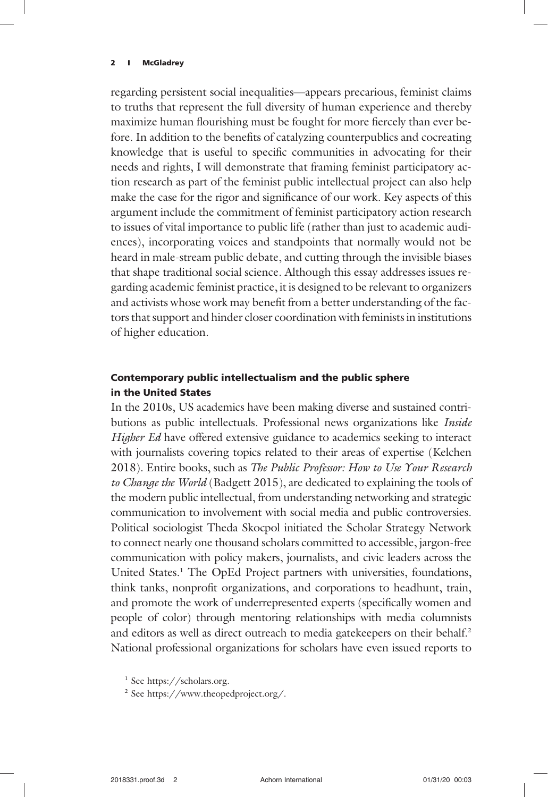regarding persistent social inequalities—appears precarious, feminist claims to truths that represent the full diversity of human experience and thereby maximize human flourishing must be fought for more fiercely than ever before. In addition to the benefits of catalyzing counterpublics and cocreating knowledge that is useful to specific communities in advocating for their needs and rights, I will demonstrate that framing feminist participatory action research as part of the feminist public intellectual project can also help make the case for the rigor and significance of our work. Key aspects of this argument include the commitment of feminist participatory action research to issues of vital importance to public life (rather than just to academic audiences), incorporating voices and standpoints that normally would not be heard in male-stream public debate, and cutting through the invisible biases that shape traditional social science. Although this essay addresses issues regarding academic feminist practice, it is designed to be relevant to organizers and activists whose work may benefit from a better understanding of the factors that support and hinder closer coordination with feminists in institutions of higher education.

# Contemporary public intellectualism and the public sphere in the United States

In the 2010s, US academics have been making diverse and sustained contributions as public intellectuals. Professional news organizations like *Inside* Higher Ed have offered extensive guidance to academics seeking to interact with journalists covering topics related to their areas of expertise (Kelchen 2018). Entire books, such as The Public Professor: How to Use Your Research to Change the World (Badgett 2015), are dedicated to explaining the tools of the modern public intellectual, from understanding networking and strategic communication to involvement with social media and public controversies. Political sociologist Theda Skocpol initiated the Scholar Strategy Network to connect nearly one thousand scholars committed to accessible, jargon-free communication with policy makers, journalists, and civic leaders across the United States.1 The OpEd Project partners with universities, foundations, think tanks, nonprofit organizations, and corporations to headhunt, train, and promote the work of underrepresented experts (specifically women and people of color) through mentoring relationships with media columnists and editors as well as direct outreach to media gatekeepers on their behalf.<sup>2</sup> National professional organizations for scholars have even issued reports to

<sup>&</sup>lt;sup>1</sup> See https://scholars.org.

<sup>2</sup> See https://www.theopedproject.org/.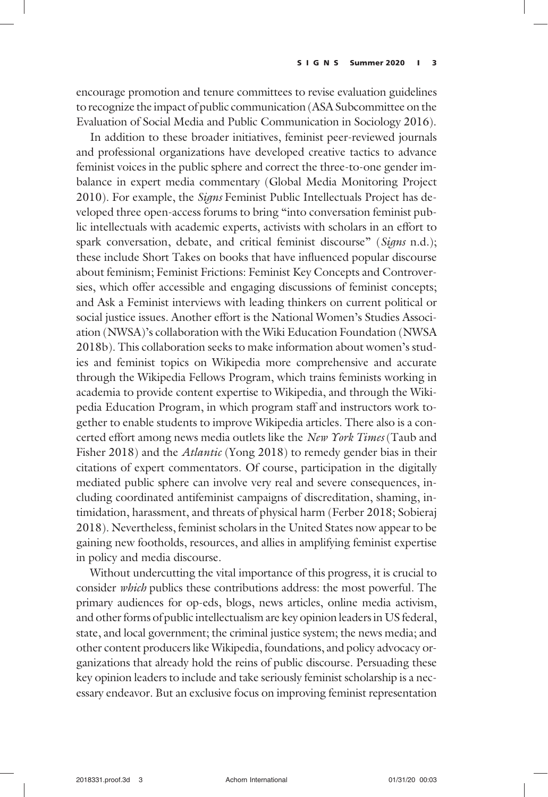encourage promotion and tenure committees to revise evaluation guidelines to recognize the impact of public communication (ASA Subcommittee on the Evaluation of Social Media and Public Communication in Sociology 2016).

In addition to these broader initiatives, feminist peer-reviewed journals and professional organizations have developed creative tactics to advance feminist voices in the public sphere and correct the three-to-one gender imbalance in expert media commentary (Global Media Monitoring Project 2010). For example, the Signs Feminist Public Intellectuals Project has developed three open-access forums to bring "into conversation feminist public intellectuals with academic experts, activists with scholars in an effort to spark conversation, debate, and critical feminist discourse" (Signs n.d.); these include Short Takes on books that have influenced popular discourse about feminism; Feminist Frictions: Feminist Key Concepts and Controversies, which offer accessible and engaging discussions of feminist concepts; and Ask a Feminist interviews with leading thinkers on current political or social justice issues. Another effort is the National Women's Studies Association (NWSA)'s collaboration with the Wiki Education Foundation (NWSA 2018b). This collaboration seeks to make information about women's studies and feminist topics on Wikipedia more comprehensive and accurate through the Wikipedia Fellows Program, which trains feminists working in academia to provide content expertise to Wikipedia, and through the Wikipedia Education Program, in which program staff and instructors work together to enable students to improve Wikipedia articles. There also is a concerted effort among news media outlets like the New York Times (Taub and Fisher 2018) and the *Atlantic* (Yong 2018) to remedy gender bias in their citations of expert commentators. Of course, participation in the digitally mediated public sphere can involve very real and severe consequences, including coordinated antifeminist campaigns of discreditation, shaming, intimidation, harassment, and threats of physical harm (Ferber 2018; Sobieraj 2018). Nevertheless, feminist scholars in the United States now appear to be gaining new footholds, resources, and allies in amplifying feminist expertise in policy and media discourse.

Without undercutting the vital importance of this progress, it is crucial to consider which publics these contributions address: the most powerful. The primary audiences for op-eds, blogs, news articles, online media activism, and other forms of public intellectualism are key opinion leaders in US federal, state, and local government; the criminal justice system; the news media; and other content producers like Wikipedia, foundations, and policy advocacy organizations that already hold the reins of public discourse. Persuading these key opinion leaders to include and take seriously feminist scholarship is a necessary endeavor. But an exclusive focus on improving feminist representation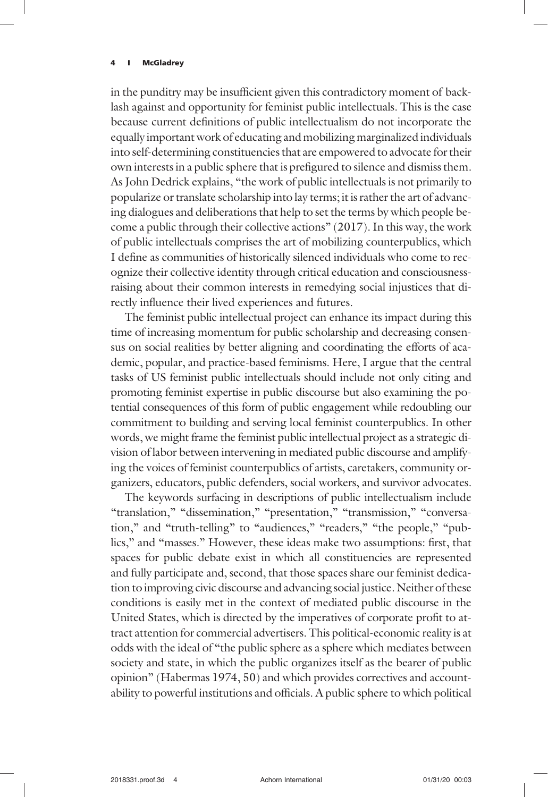in the punditry may be insufficient given this contradictory moment of backlash against and opportunity for feminist public intellectuals. This is the case because current definitions of public intellectualism do not incorporate the equally important work of educating and mobilizing marginalized individuals into self-determining constituencies that are empowered to advocate for their own interests in a public sphere that is prefigured to silence and dismiss them. As John Dedrick explains, "the work of public intellectuals is not primarily to popularize or translate scholarship into lay terms; it is rather the art of advancing dialogues and deliberations that help to set the terms by which people become a public through their collective actions" (2017). In this way, the work of public intellectuals comprises the art of mobilizing counterpublics, which I define as communities of historically silenced individuals who come to recognize their collective identity through critical education and consciousnessraising about their common interests in remedying social injustices that directly influence their lived experiences and futures.

The feminist public intellectual project can enhance its impact during this time of increasing momentum for public scholarship and decreasing consensus on social realities by better aligning and coordinating the efforts of academic, popular, and practice-based feminisms. Here, I argue that the central tasks of US feminist public intellectuals should include not only citing and promoting feminist expertise in public discourse but also examining the potential consequences of this form of public engagement while redoubling our commitment to building and serving local feminist counterpublics. In other words, we might frame the feminist public intellectual project as a strategic division of labor between intervening in mediated public discourse and amplifying the voices of feminist counterpublics of artists, caretakers, community organizers, educators, public defenders, social workers, and survivor advocates.

The keywords surfacing in descriptions of public intellectualism include "translation," "dissemination," "presentation," "transmission," "conversation," and "truth-telling" to "audiences," "readers," "the people," "publics," and "masses." However, these ideas make two assumptions: first, that spaces for public debate exist in which all constituencies are represented and fully participate and, second, that those spaces share our feminist dedication to improving civic discourse and advancing social justice. Neither of these conditions is easily met in the context of mediated public discourse in the United States, which is directed by the imperatives of corporate profit to attract attention for commercial advertisers. This political-economic reality is at odds with the ideal of "the public sphere as a sphere which mediates between society and state, in which the public organizes itself as the bearer of public opinion" (Habermas 1974, 50) and which provides correctives and accountability to powerful institutions and officials. A public sphere to which political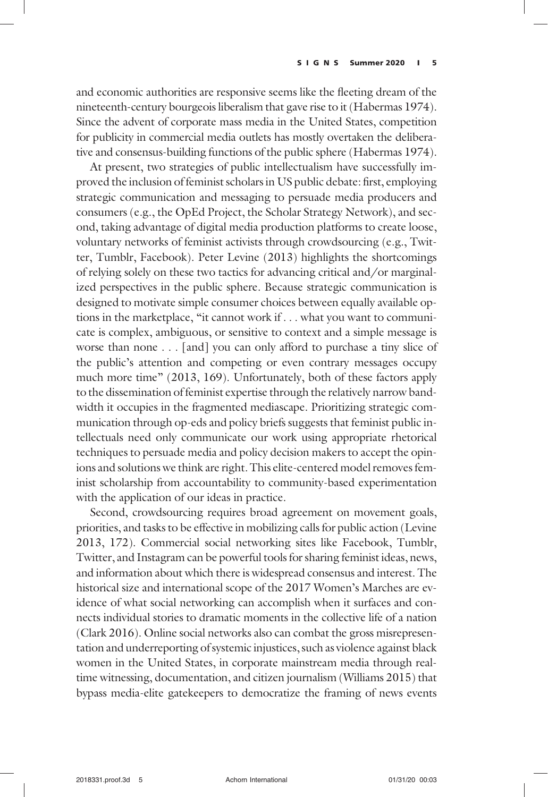and economic authorities are responsive seems like the fleeting dream of the nineteenth-century bourgeois liberalism that gave rise to it (Habermas 1974). Since the advent of corporate mass media in the United States, competition for publicity in commercial media outlets has mostly overtaken the deliberative and consensus-building functions of the public sphere (Habermas 1974).

At present, two strategies of public intellectualism have successfully improved the inclusion of feminist scholars in US public debate: first, employing strategic communication and messaging to persuade media producers and consumers (e.g., the OpEd Project, the Scholar Strategy Network), and second, taking advantage of digital media production platforms to create loose, voluntary networks of feminist activists through crowdsourcing (e.g., Twitter, Tumblr, Facebook). Peter Levine (2013) highlights the shortcomings of relying solely on these two tactics for advancing critical and/or marginalized perspectives in the public sphere. Because strategic communication is designed to motivate simple consumer choices between equally available options in the marketplace, "it cannot work if ... what you want to communicate is complex, ambiguous, or sensitive to context and a simple message is worse than none ... [and] you can only afford to purchase a tiny slice of the public's attention and competing or even contrary messages occupy much more time" (2013, 169). Unfortunately, both of these factors apply to the dissemination of feminist expertise through the relatively narrow bandwidth it occupies in the fragmented mediascape. Prioritizing strategic communication through op-eds and policy briefs suggests that feminist public intellectuals need only communicate our work using appropriate rhetorical techniques to persuade media and policy decision makers to accept the opinions and solutions we think are right. This elite-centered model removes feminist scholarship from accountability to community-based experimentation with the application of our ideas in practice.

Second, crowdsourcing requires broad agreement on movement goals, priorities, and tasks to be effective in mobilizing calls for public action (Levine 2013, 172). Commercial social networking sites like Facebook, Tumblr, Twitter, and Instagram can be powerful tools for sharing feminist ideas, news, and information about which there is widespread consensus and interest. The historical size and international scope of the 2017 Women's Marches are evidence of what social networking can accomplish when it surfaces and connects individual stories to dramatic moments in the collective life of a nation (Clark 2016). Online social networks also can combat the gross misrepresentation and underreporting of systemic injustices, such as violence against black women in the United States, in corporate mainstream media through realtime witnessing, documentation, and citizen journalism (Williams 2015) that bypass media-elite gatekeepers to democratize the framing of news events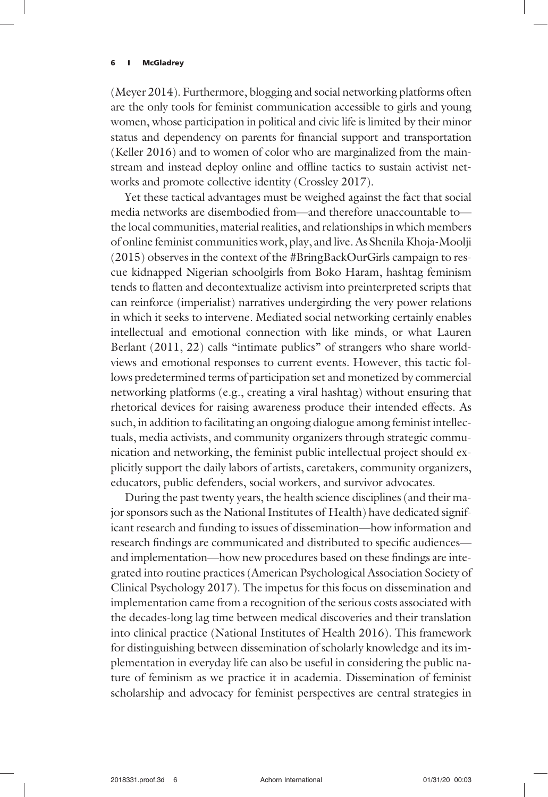(Meyer 2014). Furthermore, blogging and social networking platforms often are the only tools for feminist communication accessible to girls and young women, whose participation in political and civic life is limited by their minor status and dependency on parents for financial support and transportation (Keller 2016) and to women of color who are marginalized from the mainstream and instead deploy online and offline tactics to sustain activist networks and promote collective identity (Crossley 2017).

Yet these tactical advantages must be weighed against the fact that social media networks are disembodied from—and therefore unaccountable to the local communities, material realities, and relationships in which members of online feminist communities work, play, and live. As Shenila Khoja-Moolji (2015) observes in the context of the #BringBackOurGirls campaign to rescue kidnapped Nigerian schoolgirls from Boko Haram, hashtag feminism tends to flatten and decontextualize activism into preinterpreted scripts that can reinforce (imperialist) narratives undergirding the very power relations in which it seeks to intervene. Mediated social networking certainly enables intellectual and emotional connection with like minds, or what Lauren Berlant (2011, 22) calls "intimate publics" of strangers who share worldviews and emotional responses to current events. However, this tactic follows predetermined terms of participation set and monetized by commercial networking platforms (e.g., creating a viral hashtag) without ensuring that rhetorical devices for raising awareness produce their intended effects. As such, in addition to facilitating an ongoing dialogue among feminist intellectuals, media activists, and community organizers through strategic communication and networking, the feminist public intellectual project should explicitly support the daily labors of artists, caretakers, community organizers, educators, public defenders, social workers, and survivor advocates.

During the past twenty years, the health science disciplines (and their major sponsors such as the National Institutes of Health) have dedicated significant research and funding to issues of dissemination—how information and research findings are communicated and distributed to specific audiences and implementation—how new procedures based on these findings are integrated into routine practices (American Psychological Association Society of Clinical Psychology 2017). The impetus for this focus on dissemination and implementation came from a recognition of the serious costs associated with the decades-long lag time between medical discoveries and their translation into clinical practice (National Institutes of Health 2016). This framework for distinguishing between dissemination of scholarly knowledge and its implementation in everyday life can also be useful in considering the public nature of feminism as we practice it in academia. Dissemination of feminist scholarship and advocacy for feminist perspectives are central strategies in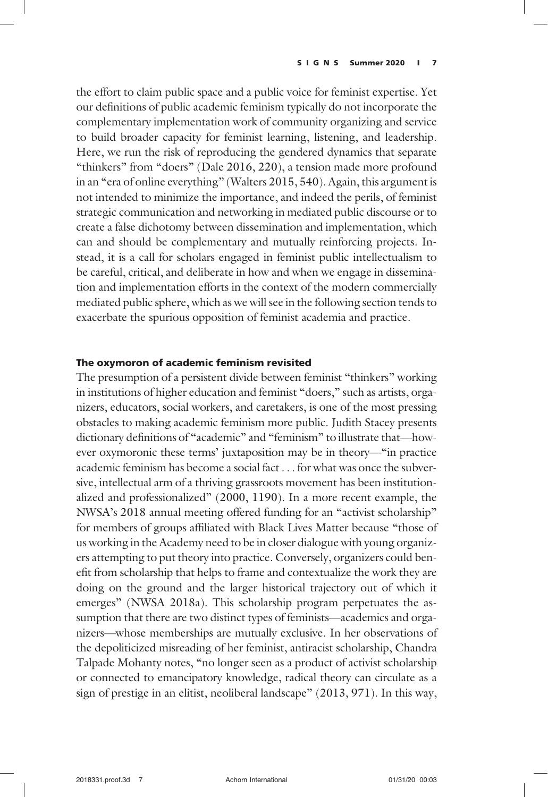the effort to claim public space and a public voice for feminist expertise. Yet our definitions of public academic feminism typically do not incorporate the complementary implementation work of community organizing and service to build broader capacity for feminist learning, listening, and leadership. Here, we run the risk of reproducing the gendered dynamics that separate "thinkers" from "doers" (Dale 2016, 220), a tension made more profound in an "era of online everything" (Walters 2015, 540). Again, this argument is not intended to minimize the importance, and indeed the perils, of feminist strategic communication and networking in mediated public discourse or to create a false dichotomy between dissemination and implementation, which can and should be complementary and mutually reinforcing projects. Instead, it is a call for scholars engaged in feminist public intellectualism to be careful, critical, and deliberate in how and when we engage in dissemination and implementation efforts in the context of the modern commercially mediated public sphere, which as we will see in the following section tends to exacerbate the spurious opposition of feminist academia and practice.

# The oxymoron of academic feminism revisited

The presumption of a persistent divide between feminist "thinkers" working in institutions of higher education and feminist "doers," such as artists, organizers, educators, social workers, and caretakers, is one of the most pressing obstacles to making academic feminism more public. Judith Stacey presents dictionary definitions of "academic" and "feminism" to illustrate that—however oxymoronic these terms' juxtaposition may be in theory—"in practice academic feminism has become a social fact ... for what was once the subversive, intellectual arm of a thriving grassroots movement has been institutionalized and professionalized" (2000, 1190). In a more recent example, the NWSA's 2018 annual meeting offered funding for an "activist scholarship" for members of groups affiliated with Black Lives Matter because "those of us working in the Academy need to be in closer dialogue with young organizers attempting to put theory into practice. Conversely, organizers could benefit from scholarship that helps to frame and contextualize the work they are doing on the ground and the larger historical trajectory out of which it emerges" (NWSA 2018a). This scholarship program perpetuates the assumption that there are two distinct types of feminists—academics and organizers—whose memberships are mutually exclusive. In her observations of the depoliticized misreading of her feminist, antiracist scholarship, Chandra Talpade Mohanty notes, "no longer seen as a product of activist scholarship or connected to emancipatory knowledge, radical theory can circulate as a sign of prestige in an elitist, neoliberal landscape" (2013, 971). In this way,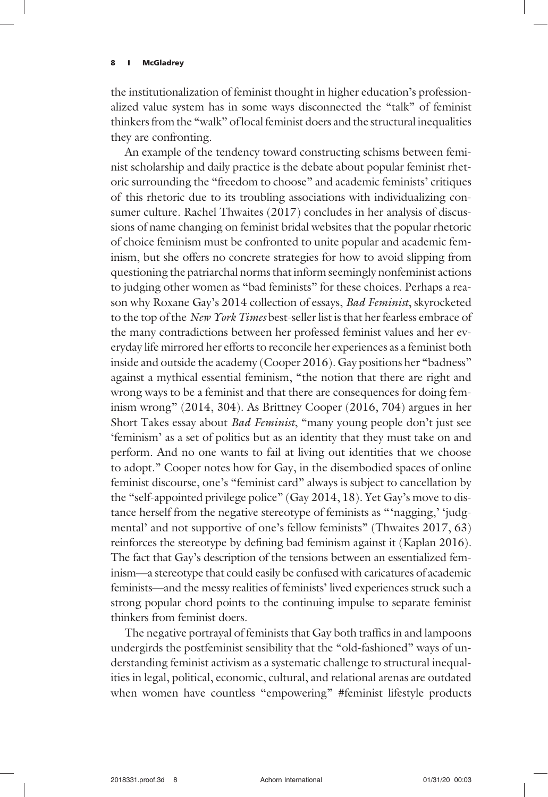the institutionalization of feminist thought in higher education's professionalized value system has in some ways disconnected the "talk" of feminist thinkers from the "walk" of local feminist doers and the structural inequalities they are confronting.

An example of the tendency toward constructing schisms between feminist scholarship and daily practice is the debate about popular feminist rhetoric surrounding the "freedom to choose" and academic feminists' critiques of this rhetoric due to its troubling associations with individualizing consumer culture. Rachel Thwaites (2017) concludes in her analysis of discussions of name changing on feminist bridal websites that the popular rhetoric of choice feminism must be confronted to unite popular and academic feminism, but she offers no concrete strategies for how to avoid slipping from questioning the patriarchal norms that inform seemingly nonfeminist actions to judging other women as "bad feminists" for these choices. Perhaps a reason why Roxane Gay's 2014 collection of essays, Bad Feminist, skyrocketed to the top of the New York Times best-seller list is that her fearless embrace of the many contradictions between her professed feminist values and her everyday life mirrored her efforts to reconcile her experiences as a feminist both inside and outside the academy (Cooper 2016). Gay positions her "badness" against a mythical essential feminism, "the notion that there are right and wrong ways to be a feminist and that there are consequences for doing feminism wrong" (2014, 304). As Brittney Cooper (2016, 704) argues in her Short Takes essay about Bad Feminist, "many young people don't just see 'feminism' as a set of politics but as an identity that they must take on and perform. And no one wants to fail at living out identities that we choose to adopt." Cooper notes how for Gay, in the disembodied spaces of online feminist discourse, one's "feminist card" always is subject to cancellation by the "self-appointed privilege police" (Gay 2014, 18). Yet Gay's move to distance herself from the negative stereotype of feminists as "'nagging,' 'judgmental' and not supportive of one's fellow feminists" (Thwaites 2017, 63) reinforces the stereotype by defining bad feminism against it (Kaplan 2016). The fact that Gay's description of the tensions between an essentialized feminism—a stereotype that could easily be confused with caricatures of academic feminists—and the messy realities of feminists' lived experiences struck such a strong popular chord points to the continuing impulse to separate feminist thinkers from feminist doers.

The negative portrayal of feminists that Gay both traffics in and lampoons undergirds the postfeminist sensibility that the "old-fashioned" ways of understanding feminist activism as a systematic challenge to structural inequalities in legal, political, economic, cultural, and relational arenas are outdated when women have countless "empowering" #feminist lifestyle products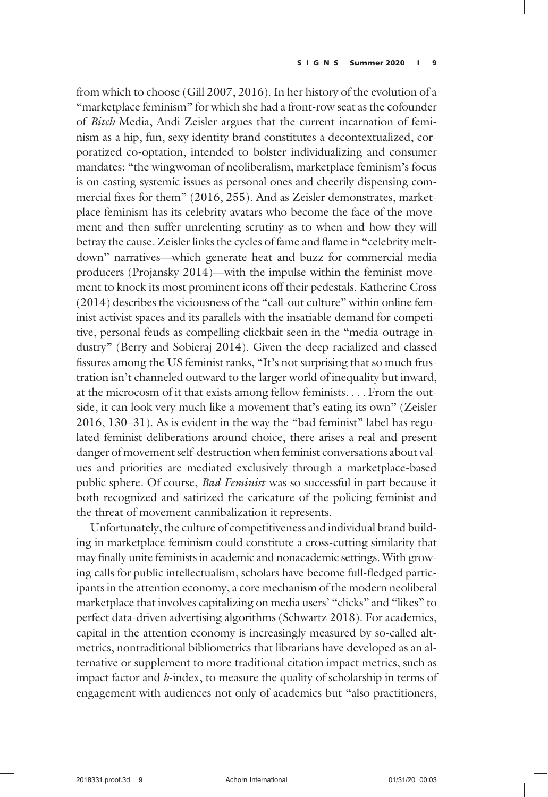from which to choose (Gill 2007, 2016). In her history of the evolution of a "marketplace feminism" for which she had a front-row seat as the cofounder of Bitch Media, Andi Zeisler argues that the current incarnation of feminism as a hip, fun, sexy identity brand constitutes a decontextualized, corporatized co-optation, intended to bolster individualizing and consumer mandates: "the wingwoman of neoliberalism, marketplace feminism's focus is on casting systemic issues as personal ones and cheerily dispensing commercial fixes for them" (2016, 255). And as Zeisler demonstrates, marketplace feminism has its celebrity avatars who become the face of the movement and then suffer unrelenting scrutiny as to when and how they will betray the cause. Zeisler links the cycles of fame and flame in "celebrity meltdown" narratives—which generate heat and buzz for commercial media producers (Projansky 2014)—with the impulse within the feminist movement to knock its most prominent icons off their pedestals. Katherine Cross (2014) describes the viciousness of the "call-out culture" within online feminist activist spaces and its parallels with the insatiable demand for competitive, personal feuds as compelling clickbait seen in the "media-outrage industry" (Berry and Sobieraj 2014). Given the deep racialized and classed fissures among the US feminist ranks, "It's not surprising that so much frustration isn't channeled outward to the larger world of inequality but inward, at the microcosm of it that exists among fellow feminists. ... From the outside, it can look very much like a movement that's eating its own" (Zeisler 2016, 130–31). As is evident in the way the "bad feminist" label has regulated feminist deliberations around choice, there arises a real and present danger of movement self-destruction when feminist conversations about values and priorities are mediated exclusively through a marketplace-based public sphere. Of course, Bad Feminist was so successful in part because it both recognized and satirized the caricature of the policing feminist and the threat of movement cannibalization it represents.

Unfortunately, the culture of competitiveness and individual brand building in marketplace feminism could constitute a cross-cutting similarity that may finally unite feminists in academic and nonacademic settings. With growing calls for public intellectualism, scholars have become full-fledged participants in the attention economy, a core mechanism of the modern neoliberal marketplace that involves capitalizing on media users' "clicks" and "likes" to perfect data-driven advertising algorithms (Schwartz 2018). For academics, capital in the attention economy is increasingly measured by so-called altmetrics, nontraditional bibliometrics that librarians have developed as an alternative or supplement to more traditional citation impact metrics, such as impact factor and  $h$ -index, to measure the quality of scholarship in terms of engagement with audiences not only of academics but "also practitioners,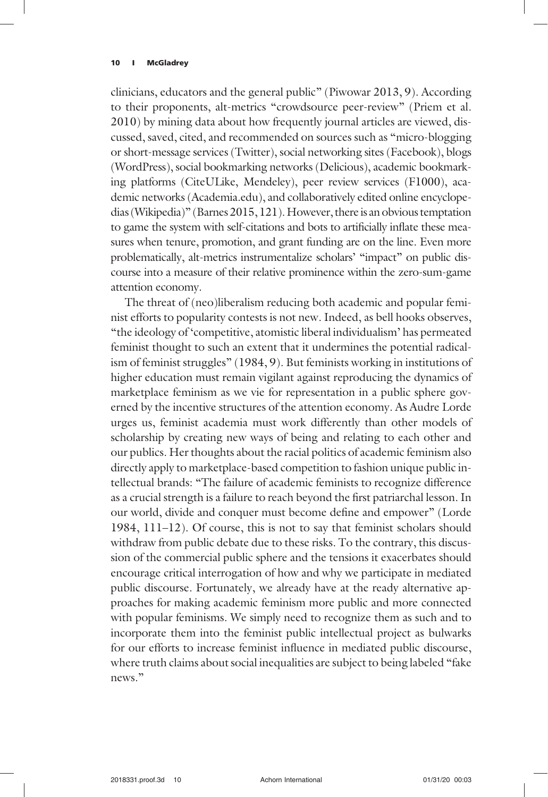clinicians, educators and the general public" (Piwowar 2013, 9). According to their proponents, alt-metrics "crowdsource peer-review" (Priem et al. 2010) by mining data about how frequently journal articles are viewed, discussed, saved, cited, and recommended on sources such as "micro-blogging or short-message services (Twitter), social networking sites (Facebook), blogs (WordPress), social bookmarking networks (Delicious), academic bookmarking platforms (CiteULike, Mendeley), peer review services (F1000), academic networks (Academia.edu), and collaboratively edited online encyclopedias (Wikipedia)" (Barnes 2015, 121). However, there is an obvious temptation to game the system with self-citations and bots to artificially inflate these measures when tenure, promotion, and grant funding are on the line. Even more problematically, alt-metrics instrumentalize scholars' "impact" on public discourse into a measure of their relative prominence within the zero-sum-game attention economy.

The threat of (neo)liberalism reducing both academic and popular feminist efforts to popularity contests is not new. Indeed, as bell hooks observes, "the ideology of 'competitive, atomistic liberal individualism' has permeated feminist thought to such an extent that it undermines the potential radicalism of feminist struggles" (1984, 9). But feminists working in institutions of higher education must remain vigilant against reproducing the dynamics of marketplace feminism as we vie for representation in a public sphere governed by the incentive structures of the attention economy. As Audre Lorde urges us, feminist academia must work differently than other models of scholarship by creating new ways of being and relating to each other and our publics. Her thoughts about the racial politics of academic feminism also directly apply to marketplace-based competition to fashion unique public intellectual brands: "The failure of academic feminists to recognize difference as a crucial strength is a failure to reach beyond the first patriarchal lesson. In our world, divide and conquer must become define and empower" (Lorde 1984, 111–12). Of course, this is not to say that feminist scholars should withdraw from public debate due to these risks. To the contrary, this discussion of the commercial public sphere and the tensions it exacerbates should encourage critical interrogation of how and why we participate in mediated public discourse. Fortunately, we already have at the ready alternative approaches for making academic feminism more public and more connected with popular feminisms. We simply need to recognize them as such and to incorporate them into the feminist public intellectual project as bulwarks for our efforts to increase feminist influence in mediated public discourse, where truth claims about social inequalities are subject to being labeled "fake news."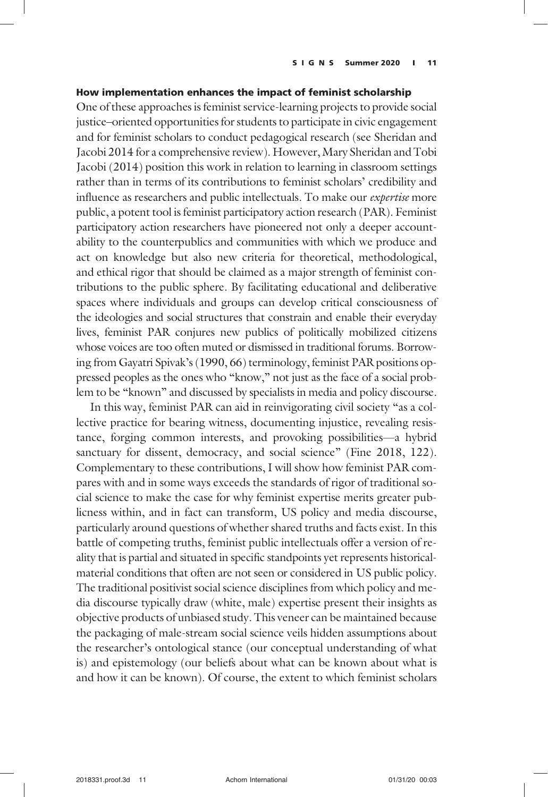# How implementation enhances the impact of feminist scholarship

One of these approaches is feminist service-learning projects to provide social justice–oriented opportunities for students to participate in civic engagement and for feminist scholars to conduct pedagogical research (see Sheridan and Jacobi 2014 for a comprehensive review). However, Mary Sheridan and Tobi Jacobi (2014) position this work in relation to learning in classroom settings rather than in terms of its contributions to feminist scholars' credibility and influence as researchers and public intellectuals. To make our expertise more public, a potent tool is feminist participatory action research (PAR). Feminist participatory action researchers have pioneered not only a deeper accountability to the counterpublics and communities with which we produce and act on knowledge but also new criteria for theoretical, methodological, and ethical rigor that should be claimed as a major strength of feminist contributions to the public sphere. By facilitating educational and deliberative spaces where individuals and groups can develop critical consciousness of the ideologies and social structures that constrain and enable their everyday lives, feminist PAR conjures new publics of politically mobilized citizens whose voices are too often muted or dismissed in traditional forums. Borrowing from Gayatri Spivak's (1990, 66) terminology, feminist PAR positions oppressed peoples as the ones who "know," not just as the face of a social problem to be "known" and discussed by specialists in media and policy discourse.

In this way, feminist PAR can aid in reinvigorating civil society "as a collective practice for bearing witness, documenting injustice, revealing resistance, forging common interests, and provoking possibilities—a hybrid sanctuary for dissent, democracy, and social science" (Fine 2018, 122). Complementary to these contributions, I will show how feminist PAR compares with and in some ways exceeds the standards of rigor of traditional social science to make the case for why feminist expertise merits greater publicness within, and in fact can transform, US policy and media discourse, particularly around questions of whether shared truths and facts exist. In this battle of competing truths, feminist public intellectuals offer a version of reality that is partial and situated in specific standpoints yet represents historicalmaterial conditions that often are not seen or considered in US public policy. The traditional positivist social science disciplines from which policy and media discourse typically draw (white, male) expertise present their insights as objective products of unbiased study. This veneer can be maintained because the packaging of male-stream social science veils hidden assumptions about the researcher's ontological stance (our conceptual understanding of what is) and epistemology (our beliefs about what can be known about what is and how it can be known). Of course, the extent to which feminist scholars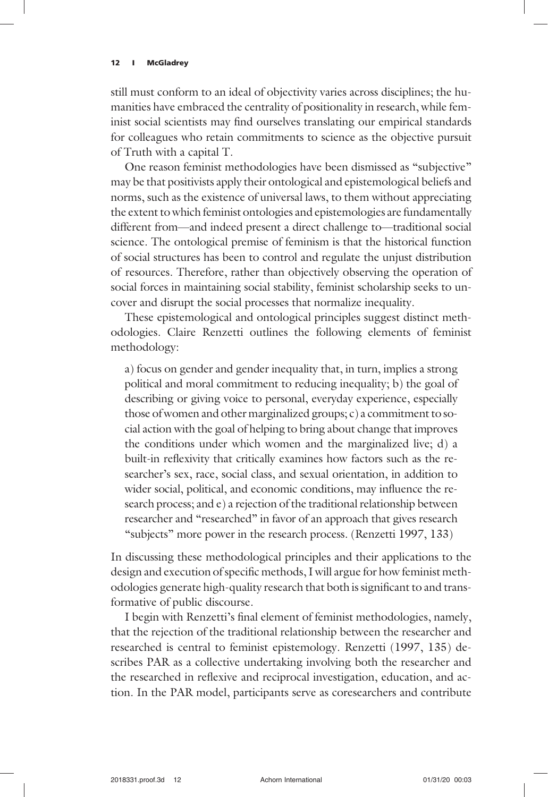still must conform to an ideal of objectivity varies across disciplines; the humanities have embraced the centrality of positionality in research, while feminist social scientists may find ourselves translating our empirical standards for colleagues who retain commitments to science as the objective pursuit of Truth with a capital T.

One reason feminist methodologies have been dismissed as "subjective" may be that positivists apply their ontological and epistemological beliefs and norms, such as the existence of universal laws, to them without appreciating the extent to which feminist ontologies and epistemologies are fundamentally different from—and indeed present a direct challenge to—traditional social science. The ontological premise of feminism is that the historical function of social structures has been to control and regulate the unjust distribution of resources. Therefore, rather than objectively observing the operation of social forces in maintaining social stability, feminist scholarship seeks to uncover and disrupt the social processes that normalize inequality.

These epistemological and ontological principles suggest distinct methodologies. Claire Renzetti outlines the following elements of feminist methodology:

a) focus on gender and gender inequality that, in turn, implies a strong political and moral commitment to reducing inequality; b) the goal of describing or giving voice to personal, everyday experience, especially those of women and other marginalized groups; c) a commitment to social action with the goal of helping to bring about change that improves the conditions under which women and the marginalized live; d) a built-in reflexivity that critically examines how factors such as the researcher's sex, race, social class, and sexual orientation, in addition to wider social, political, and economic conditions, may influence the research process; and e) a rejection of the traditional relationship between researcher and "researched" in favor of an approach that gives research "subjects" more power in the research process. (Renzetti 1997, 133)

In discussing these methodological principles and their applications to the design and execution of specific methods, I will argue for how feminist methodologies generate high-quality research that both is significant to and transformative of public discourse.

I begin with Renzetti's final element of feminist methodologies, namely, that the rejection of the traditional relationship between the researcher and researched is central to feminist epistemology. Renzetti (1997, 135) describes PAR as a collective undertaking involving both the researcher and the researched in reflexive and reciprocal investigation, education, and action. In the PAR model, participants serve as coresearchers and contribute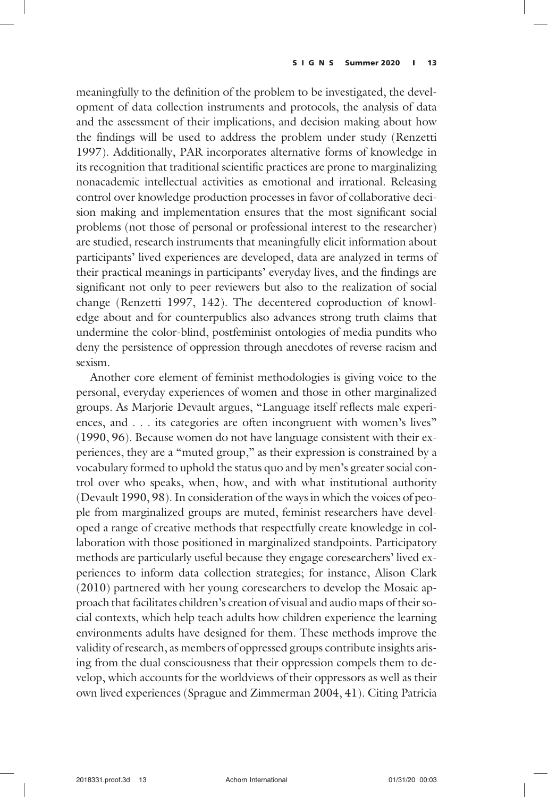meaningfully to the definition of the problem to be investigated, the development of data collection instruments and protocols, the analysis of data and the assessment of their implications, and decision making about how the findings will be used to address the problem under study (Renzetti 1997). Additionally, PAR incorporates alternative forms of knowledge in its recognition that traditional scientific practices are prone to marginalizing nonacademic intellectual activities as emotional and irrational. Releasing control over knowledge production processes in favor of collaborative decision making and implementation ensures that the most significant social problems (not those of personal or professional interest to the researcher) are studied, research instruments that meaningfully elicit information about participants' lived experiences are developed, data are analyzed in terms of their practical meanings in participants' everyday lives, and the findings are significant not only to peer reviewers but also to the realization of social change (Renzetti 1997, 142). The decentered coproduction of knowledge about and for counterpublics also advances strong truth claims that undermine the color-blind, postfeminist ontologies of media pundits who deny the persistence of oppression through anecdotes of reverse racism and sexism.

Another core element of feminist methodologies is giving voice to the personal, everyday experiences of women and those in other marginalized groups. As Marjorie Devault argues, "Language itself reflects male experiences, and ... its categories are often incongruent with women's lives" (1990, 96). Because women do not have language consistent with their experiences, they are a "muted group," as their expression is constrained by a vocabulary formed to uphold the status quo and by men's greater social control over who speaks, when, how, and with what institutional authority (Devault 1990, 98). In consideration of the ways in which the voices of people from marginalized groups are muted, feminist researchers have developed a range of creative methods that respectfully create knowledge in collaboration with those positioned in marginalized standpoints. Participatory methods are particularly useful because they engage coresearchers' lived experiences to inform data collection strategies; for instance, Alison Clark (2010) partnered with her young coresearchers to develop the Mosaic approach that facilitates children's creation of visual and audio maps of their social contexts, which help teach adults how children experience the learning environments adults have designed for them. These methods improve the validity of research, as members of oppressed groups contribute insights arising from the dual consciousness that their oppression compels them to develop, which accounts for the worldviews of their oppressors as well as their own lived experiences (Sprague and Zimmerman 2004, 41). Citing Patricia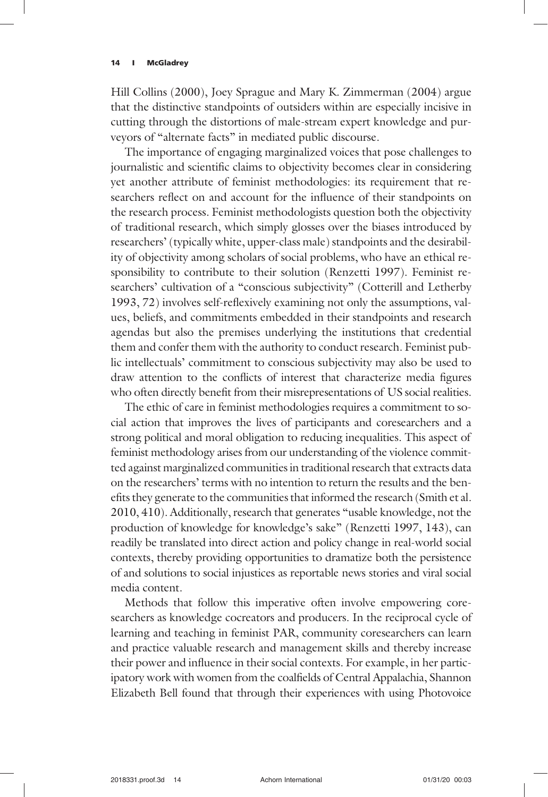Hill Collins (2000), Joey Sprague and Mary K. Zimmerman (2004) argue that the distinctive standpoints of outsiders within are especially incisive in cutting through the distortions of male-stream expert knowledge and purveyors of "alternate facts" in mediated public discourse.

The importance of engaging marginalized voices that pose challenges to journalistic and scientific claims to objectivity becomes clear in considering yet another attribute of feminist methodologies: its requirement that researchers reflect on and account for the influence of their standpoints on the research process. Feminist methodologists question both the objectivity of traditional research, which simply glosses over the biases introduced by researchers' (typically white, upper-class male) standpoints and the desirability of objectivity among scholars of social problems, who have an ethical responsibility to contribute to their solution (Renzetti 1997). Feminist researchers' cultivation of a "conscious subjectivity" (Cotterill and Letherby 1993, 72) involves self-reflexively examining not only the assumptions, values, beliefs, and commitments embedded in their standpoints and research agendas but also the premises underlying the institutions that credential them and confer them with the authority to conduct research. Feminist public intellectuals' commitment to conscious subjectivity may also be used to draw attention to the conflicts of interest that characterize media figures who often directly benefit from their misrepresentations of US social realities.

The ethic of care in feminist methodologies requires a commitment to social action that improves the lives of participants and coresearchers and a strong political and moral obligation to reducing inequalities. This aspect of feminist methodology arises from our understanding of the violence committed against marginalized communities in traditional research that extracts data on the researchers' terms with no intention to return the results and the benefits they generate to the communities that informed the research (Smith et al. 2010, 410). Additionally, research that generates "usable knowledge, not the production of knowledge for knowledge's sake" (Renzetti 1997, 143), can readily be translated into direct action and policy change in real-world social contexts, thereby providing opportunities to dramatize both the persistence of and solutions to social injustices as reportable news stories and viral social media content.

Methods that follow this imperative often involve empowering coresearchers as knowledge cocreators and producers. In the reciprocal cycle of learning and teaching in feminist PAR, community coresearchers can learn and practice valuable research and management skills and thereby increase their power and influence in their social contexts. For example, in her participatory work with women from the coalfields of Central Appalachia, Shannon Elizabeth Bell found that through their experiences with using Photovoice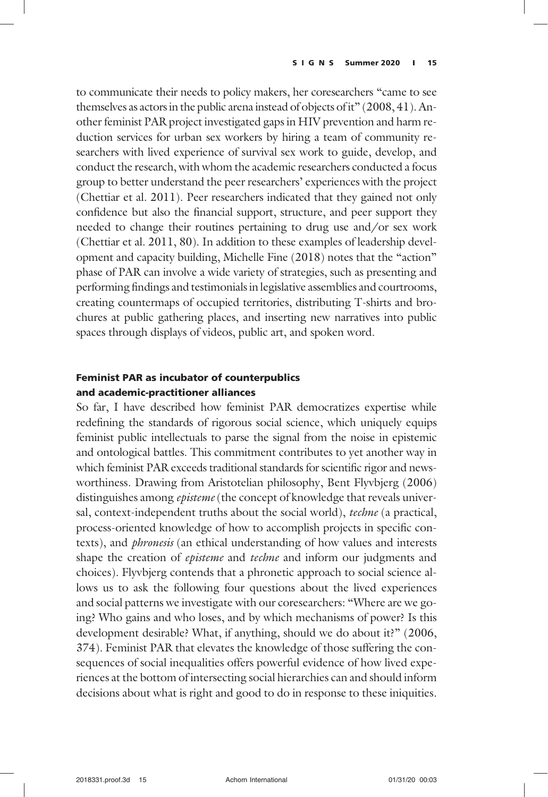to communicate their needs to policy makers, her coresearchers "came to see themselves as actors in the public arena instead of objects of it" (2008, 41). Another feminist PAR project investigated gaps in HIV prevention and harm reduction services for urban sex workers by hiring a team of community researchers with lived experience of survival sex work to guide, develop, and conduct the research, with whom the academic researchers conducted a focus group to better understand the peer researchers' experiences with the project (Chettiar et al. 2011). Peer researchers indicated that they gained not only confidence but also the financial support, structure, and peer support they needed to change their routines pertaining to drug use and/or sex work (Chettiar et al. 2011, 80). In addition to these examples of leadership development and capacity building, Michelle Fine (2018) notes that the "action" phase of PAR can involve a wide variety of strategies, such as presenting and performing findings and testimonials in legislative assemblies and courtrooms, creating countermaps of occupied territories, distributing T-shirts and brochures at public gathering places, and inserting new narratives into public spaces through displays of videos, public art, and spoken word.

# Feminist PAR as incubator of counterpublics and academic-practitioner alliances

So far, I have described how feminist PAR democratizes expertise while redefining the standards of rigorous social science, which uniquely equips feminist public intellectuals to parse the signal from the noise in epistemic and ontological battles. This commitment contributes to yet another way in which feminist PAR exceeds traditional standards for scientific rigor and newsworthiness. Drawing from Aristotelian philosophy, Bent Flyvbjerg (2006) distinguishes among *episteme* (the concept of knowledge that reveals universal, context-independent truths about the social world), techne (a practical, process-oriented knowledge of how to accomplish projects in specific contexts), and *phronesis* (an ethical understanding of how values and interests shape the creation of *episteme* and *techne* and inform our judgments and choices). Flyvbjerg contends that a phronetic approach to social science allows us to ask the following four questions about the lived experiences and social patterns we investigate with our coresearchers: "Where are we going? Who gains and who loses, and by which mechanisms of power? Is this development desirable? What, if anything, should we do about it?" (2006, 374). Feminist PAR that elevates the knowledge of those suffering the consequences of social inequalities offers powerful evidence of how lived experiences at the bottom of intersecting social hierarchies can and should inform decisions about what is right and good to do in response to these iniquities.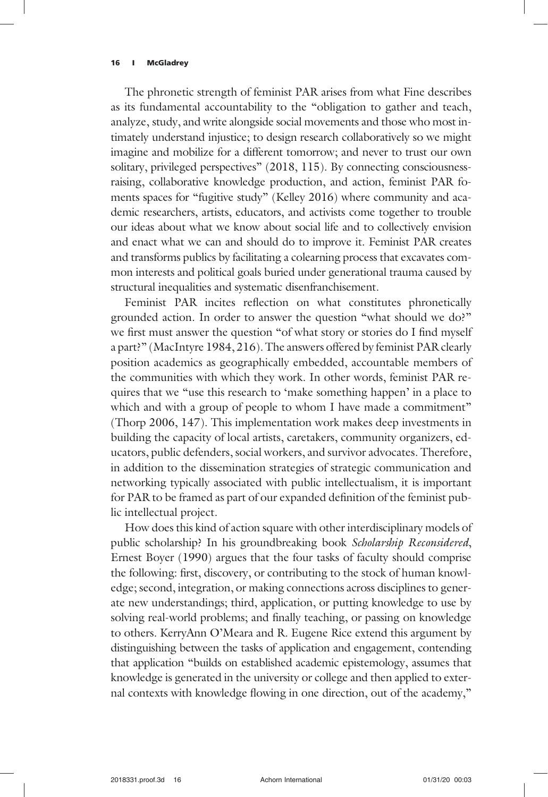The phronetic strength of feminist PAR arises from what Fine describes as its fundamental accountability to the "obligation to gather and teach, analyze, study, and write alongside social movements and those who most intimately understand injustice; to design research collaboratively so we might imagine and mobilize for a different tomorrow; and never to trust our own solitary, privileged perspectives" (2018, 115). By connecting consciousnessraising, collaborative knowledge production, and action, feminist PAR foments spaces for "fugitive study" (Kelley 2016) where community and academic researchers, artists, educators, and activists come together to trouble our ideas about what we know about social life and to collectively envision and enact what we can and should do to improve it. Feminist PAR creates and transforms publics by facilitating a colearning process that excavates common interests and political goals buried under generational trauma caused by structural inequalities and systematic disenfranchisement.

Feminist PAR incites reflection on what constitutes phronetically grounded action. In order to answer the question "what should we do?" we first must answer the question "of what story or stories do I find myself a part?" (MacIntyre 1984, 216). The answers offered by feminist PAR clearly position academics as geographically embedded, accountable members of the communities with which they work. In other words, feminist PAR requires that we "use this research to 'make something happen' in a place to which and with a group of people to whom I have made a commitment" (Thorp 2006, 147). This implementation work makes deep investments in building the capacity of local artists, caretakers, community organizers, educators, public defenders, social workers, and survivor advocates. Therefore, in addition to the dissemination strategies of strategic communication and networking typically associated with public intellectualism, it is important for PAR to be framed as part of our expanded definition of the feminist public intellectual project.

How does this kind of action square with other interdisciplinary models of public scholarship? In his groundbreaking book Scholarship Reconsidered, Ernest Boyer (1990) argues that the four tasks of faculty should comprise the following: first, discovery, or contributing to the stock of human knowledge; second, integration, or making connections across disciplines to generate new understandings; third, application, or putting knowledge to use by solving real-world problems; and finally teaching, or passing on knowledge to others. KerryAnn O'Meara and R. Eugene Rice extend this argument by distinguishing between the tasks of application and engagement, contending that application "builds on established academic epistemology, assumes that knowledge is generated in the university or college and then applied to external contexts with knowledge flowing in one direction, out of the academy,"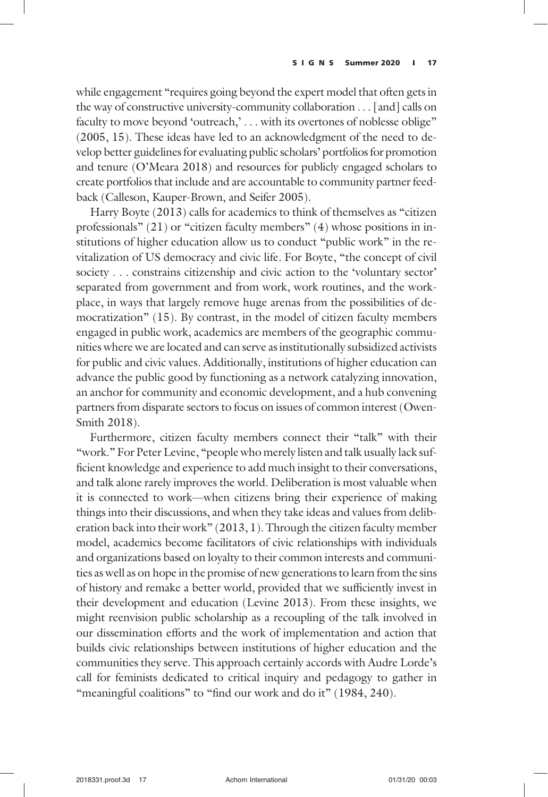while engagement "requires going beyond the expert model that often gets in the way of constructive university-community collaboration ... [and] calls on faculty to move beyond 'outreach,' . . . with its overtones of noblesse oblige" (2005, 15). These ideas have led to an acknowledgment of the need to develop better guidelines for evaluating public scholars' portfolios for promotion and tenure (O'Meara 2018) and resources for publicly engaged scholars to create portfolios that include and are accountable to community partner feedback (Calleson, Kauper-Brown, and Seifer 2005).

Harry Boyte (2013) calls for academics to think of themselves as "citizen professionals" (21) or "citizen faculty members" (4) whose positions in institutions of higher education allow us to conduct "public work" in the revitalization of US democracy and civic life. For Boyte, "the concept of civil society ... constrains citizenship and civic action to the 'voluntary sector' separated from government and from work, work routines, and the workplace, in ways that largely remove huge arenas from the possibilities of democratization" (15). By contrast, in the model of citizen faculty members engaged in public work, academics are members of the geographic communities where we are located and can serve as institutionally subsidized activists for public and civic values. Additionally, institutions of higher education can advance the public good by functioning as a network catalyzing innovation, an anchor for community and economic development, and a hub convening partners from disparate sectors to focus on issues of common interest (Owen-Smith 2018).

Furthermore, citizen faculty members connect their "talk" with their "work." For Peter Levine, "people who merely listen and talk usually lack sufficient knowledge and experience to add much insight to their conversations, and talk alone rarely improves the world. Deliberation is most valuable when it is connected to work—when citizens bring their experience of making things into their discussions, and when they take ideas and values from deliberation back into their work" (2013, 1). Through the citizen faculty member model, academics become facilitators of civic relationships with individuals and organizations based on loyalty to their common interests and communities as well as on hope in the promise of new generations to learn from the sins of history and remake a better world, provided that we sufficiently invest in their development and education (Levine 2013). From these insights, we might reenvision public scholarship as a recoupling of the talk involved in our dissemination efforts and the work of implementation and action that builds civic relationships between institutions of higher education and the communities they serve. This approach certainly accords with Audre Lorde's call for feminists dedicated to critical inquiry and pedagogy to gather in "meaningful coalitions" to "find our work and do it" (1984, 240).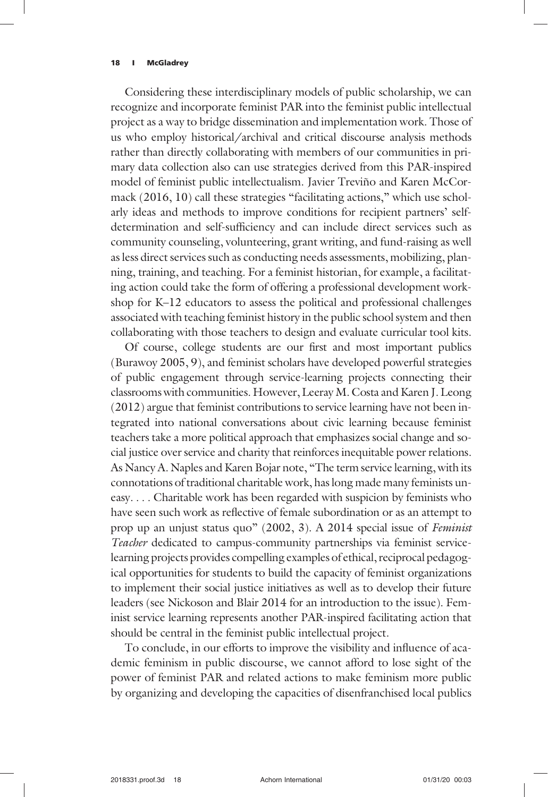Considering these interdisciplinary models of public scholarship, we can recognize and incorporate feminist PAR into the feminist public intellectual project as a way to bridge dissemination and implementation work. Those of us who employ historical/archival and critical discourse analysis methods rather than directly collaborating with members of our communities in primary data collection also can use strategies derived from this PAR-inspired model of feminist public intellectualism. Javier Treviño and Karen McCormack (2016, 10) call these strategies "facilitating actions," which use scholarly ideas and methods to improve conditions for recipient partners' selfdetermination and self-sufficiency and can include direct services such as community counseling, volunteering, grant writing, and fund-raising as well as less direct services such as conducting needs assessments, mobilizing, planning, training, and teaching. For a feminist historian, for example, a facilitating action could take the form of offering a professional development workshop for K–12 educators to assess the political and professional challenges associated with teaching feminist history in the public school system and then collaborating with those teachers to design and evaluate curricular tool kits.

Of course, college students are our first and most important publics (Burawoy 2005, 9), and feminist scholars have developed powerful strategies of public engagement through service-learning projects connecting their classrooms with communities. However, Leeray M. Costa and Karen J. Leong (2012) argue that feminist contributions to service learning have not been integrated into national conversations about civic learning because feminist teachers take a more political approach that emphasizes social change and social justice over service and charity that reinforces inequitable power relations. As Nancy A. Naples and Karen Bojar note, "The term service learning, with its connotations of traditional charitable work, has long made many feminists uneasy. ... Charitable work has been regarded with suspicion by feminists who have seen such work as reflective of female subordination or as an attempt to prop up an unjust status quo" (2002, 3). A 2014 special issue of Feminist Teacher dedicated to campus-community partnerships via feminist servicelearning projects provides compelling examples of ethical, reciprocal pedagogical opportunities for students to build the capacity of feminist organizations to implement their social justice initiatives as well as to develop their future leaders (see Nickoson and Blair 2014 for an introduction to the issue). Feminist service learning represents another PAR-inspired facilitating action that should be central in the feminist public intellectual project.

To conclude, in our efforts to improve the visibility and influence of academic feminism in public discourse, we cannot afford to lose sight of the power of feminist PAR and related actions to make feminism more public by organizing and developing the capacities of disenfranchised local publics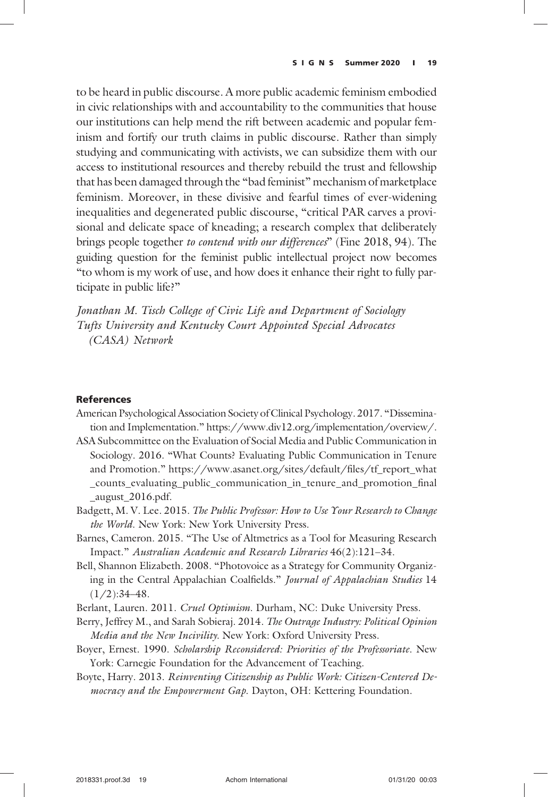to be heard in public discourse. A more public academic feminism embodied in civic relationships with and accountability to the communities that house our institutions can help mend the rift between academic and popular feminism and fortify our truth claims in public discourse. Rather than simply studying and communicating with activists, we can subsidize them with our access to institutional resources and thereby rebuild the trust and fellowship that has been damaged through the "bad feminist" mechanism of marketplace feminism. Moreover, in these divisive and fearful times of ever-widening inequalities and degenerated public discourse, "critical PAR carves a provisional and delicate space of kneading; a research complex that deliberately brings people together to contend with our differences" (Fine 2018, 94). The guiding question for the feminist public intellectual project now becomes "to whom is my work of use, and how does it enhance their right to fully participate in public life?"

Jonathan M. Tisch College of Civic Life and Department of Sociology Tufts University and Kentucky Court Appointed Special Advocates (CASA) Network

# References

- American Psychological Association Society of Clinical Psychology. 2017. "Dissemination and Implementation." https://www.div12.org/implementation/overview/.
- ASA Subcommittee on the Evaluation of Social Media and Public Communication in Sociology. 2016. "What Counts? Evaluating Public Communication in Tenure and Promotion." https://www.asanet.org/sites/default/files/tf\_report\_what \_counts\_evaluating\_public\_communication\_in\_tenure\_and\_promotion\_final \_august\_2016.pdf.
- Badgett, M. V. Lee. 2015. The Public Professor: How to Use Your Research to Change the World. New York: New York University Press.
- Barnes, Cameron. 2015. "The Use of Altmetrics as a Tool for Measuring Research Impact." Australian Academic and Research Libraries 46(2):121–34.
- Bell, Shannon Elizabeth. 2008. "Photovoice as a Strategy for Community Organizing in the Central Appalachian Coalfields." Journal of Appalachian Studies 14  $(1/2):34-48.$
- Berlant, Lauren. 2011. Cruel Optimism. Durham, NC: Duke University Press.
- Berry, Jeffrey M., and Sarah Sobieraj. 2014. The Outrage Industry: Political Opinion Media and the New Incivility. New York: Oxford University Press.
- Boyer, Ernest. 1990. Scholarship Reconsidered: Priorities of the Professoriate. New York: Carnegie Foundation for the Advancement of Teaching.
- Boyte, Harry. 2013. Reinventing Citizenship as Public Work: Citizen-Centered Democracy and the Empowerment Gap. Dayton, OH: Kettering Foundation.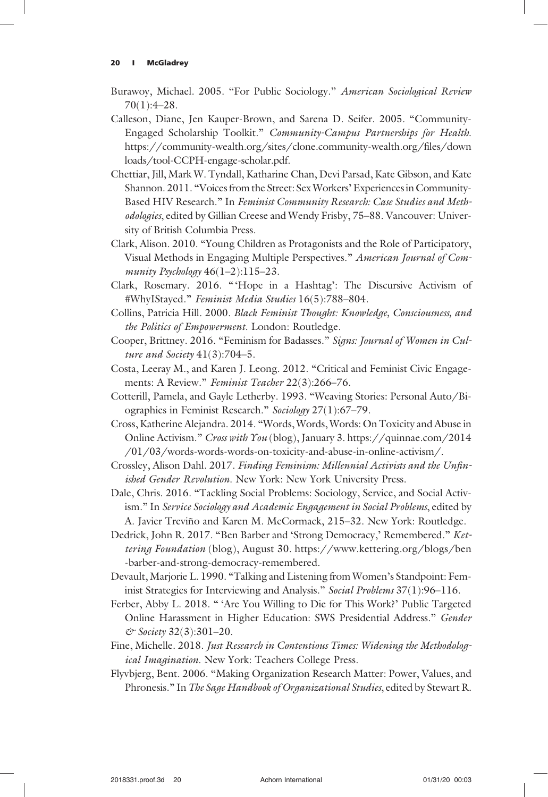- Burawoy, Michael. 2005. "For Public Sociology." American Sociological Review 70(1):4–28.
- Calleson, Diane, Jen Kauper-Brown, and Sarena D. Seifer. 2005. "Community-Engaged Scholarship Toolkit." Community-Campus Partnerships for Health. https://community-wealth.org/sites/clone.community-wealth.org/files/down loads/tool-CCPH-engage-scholar.pdf.
- Chettiar, Jill, Mark W. Tyndall, Katharine Chan, Devi Parsad, Kate Gibson, and Kate Shannon. 2011. "Voices from the Street: Sex Workers'Experiences in Community-Based HIV Research." In Feminist Community Research: Case Studies and Methodologies, edited by Gillian Creese and Wendy Frisby, 75–88. Vancouver: University of British Columbia Press.
- Clark, Alison. 2010. "Young Children as Protagonists and the Role of Participatory, Visual Methods in Engaging Multiple Perspectives." American Journal of Community Psychology 46(1–2):115–23.
- Clark, Rosemary. 2016. "'Hope in a Hashtag': The Discursive Activism of #WhyIStayed." Feminist Media Studies 16(5):788-804.
- Collins, Patricia Hill. 2000. Black Feminist Thought: Knowledge, Consciousness, and the Politics of Empowerment. London: Routledge.
- Cooper, Brittney. 2016. "Feminism for Badasses." Signs: Journal of Women in Culture and Society 41(3):704-5.
- Costa, Leeray M., and Karen J. Leong. 2012. "Critical and Feminist Civic Engagements: A Review." Feminist Teacher 22(3):266–76.
- Cotterill, Pamela, and Gayle Letherby. 1993. "Weaving Stories: Personal Auto/Biographies in Feminist Research." Sociology 27(1):67–79.
- Cross, Katherine Alejandra. 2014. "Words, Words, Words: On Toxicity and Abuse in Online Activism." Cross with You (blog), January 3. https://quinnae.com/2014 /01/03/words-words-words-on-toxicity-and-abuse-in-online-activism/.
- Crossley, Alison Dahl. 2017. Finding Feminism: Millennial Activists and the Unfinished Gender Revolution. New York: New York University Press.
- Dale, Chris. 2016. "Tackling Social Problems: Sociology, Service, and Social Activism." In Service Sociology and Academic Engagement in Social Problems, edited by A. Javier Treviño and Karen M. McCormack, 215–32. New York: Routledge.
- Dedrick, John R. 2017. "Ben Barber and 'Strong Democracy,' Remembered." Kettering Foundation (blog), August 30. https://www.kettering.org/blogs/ben -barber-and-strong-democracy-remembered.
- Devault, Marjorie L. 1990. "Talking and Listening from Women's Standpoint: Feminist Strategies for Interviewing and Analysis." Social Problems 37(1):96-116.
- Ferber, Abby L. 2018. " 'Are You Willing to Die for This Work?' Public Targeted Online Harassment in Higher Education: SWS Presidential Address." Gender & Society 32(3):301–20.
- Fine, Michelle. 2018. Just Research in Contentious Times: Widening the Methodological Imagination. New York: Teachers College Press.
- Flyvbjerg, Bent. 2006. "Making Organization Research Matter: Power, Values, and Phronesis." In The Sage Handbook of Organizational Studies, edited by Stewart R.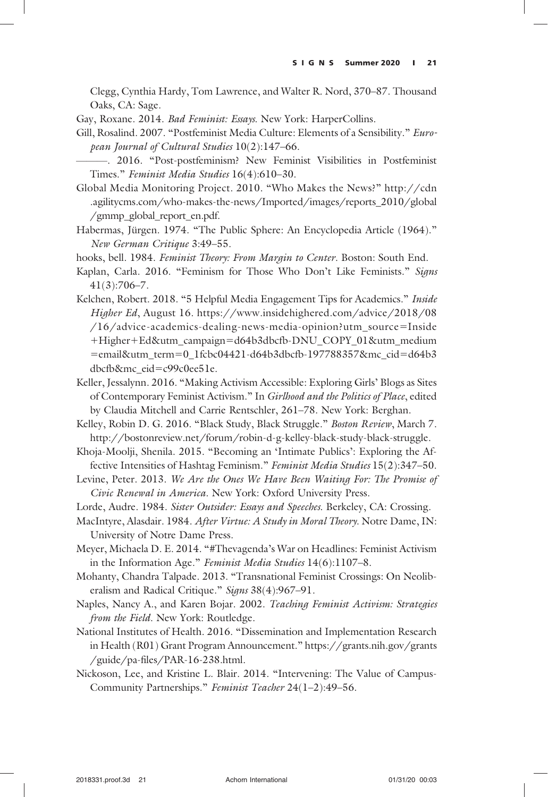Clegg, Cynthia Hardy, Tom Lawrence, and Walter R. Nord, 370–87. Thousand Oaks, CA: Sage.

Gay, Roxane. 2014. Bad Feminist: Essays. New York: HarperCollins.

- Gill, Rosalind. 2007. "Postfeminist Media Culture: Elements of a Sensibility." European Journal of Cultural Studies 10(2):147–66.
	- ———. 2016. "Post-postfeminism? New Feminist Visibilities in Postfeminist Times." Feminist Media Studies 16(4):610–30.
- Global Media Monitoring Project. 2010. "Who Makes the News?" http://cdn .agilitycms.com/who-makes-the-news/Imported/images/reports\_2010/global /gmmp\_global\_report\_en.pdf.
- Habermas, Jürgen. 1974. "The Public Sphere: An Encyclopedia Article (1964)." New German Critique 3:49–55.
- hooks, bell. 1984. Feminist Theory: From Margin to Center. Boston: South End.
- Kaplan, Carla. 2016. "Feminism for Those Who Don't Like Feminists." Signs 41(3):706–7.
- Kelchen, Robert. 2018. "5 Helpful Media Engagement Tips for Academics." Inside Higher Ed, August 16. https://www.insidehighered.com/advice/2018/08 /16/advice-academics-dealing-news-media-opinion?utm\_source=Inside +Higher+Ed&utm\_campaign=d64b3dbcfb-DNU\_COPY\_01&utm\_medium =email&utm\_term=0\_1fcbc04421-d64b3dbcfb-197788357&mc\_cid=d64b3 dbcfb&mc\_eid=c99c0ee51e.
- Keller, Jessalynn. 2016. "Making Activism Accessible: Exploring Girls' Blogs as Sites of Contemporary Feminist Activism." In Girlhood and the Politics of Place, edited by Claudia Mitchell and Carrie Rentschler, 261–78. New York: Berghan.
- Kelley, Robin D. G. 2016. "Black Study, Black Struggle." Boston Review, March 7. http://bostonreview.net/forum/robin-d-g-kelley-black-study-black-struggle.
- Khoja-Moolji, Shenila. 2015. "Becoming an 'Intimate Publics': Exploring the Affective Intensities of Hashtag Feminism." Feminist Media Studies 15(2):347–50.
- Levine, Peter. 2013. We Are the Ones We Have Been Waiting For: The Promise of Civic Renewal in America. New York: Oxford University Press.
- Lorde, Audre. 1984. Sister Outsider: Essays and Speeches. Berkeley, CA: Crossing.
- MacIntyre, Alasdair. 1984. After Virtue: A Study in Moral Theory. Notre Dame, IN: University of Notre Dame Press.
- Meyer, Michaela D. E. 2014. "#Thevagenda's War on Headlines: Feminist Activism in the Information Age." Feminist Media Studies 14(6):1107–8.
- Mohanty, Chandra Talpade. 2013. "Transnational Feminist Crossings: On Neoliberalism and Radical Critique." Signs 38(4):967-91.
- Naples, Nancy A., and Karen Bojar. 2002. Teaching Feminist Activism: Strategies from the Field. New York: Routledge.
- National Institutes of Health. 2016. "Dissemination and Implementation Research in Health (R01) Grant Program Announcement." https://grants.nih.gov/grants /guide/pa-files/PAR-16-238.html.
- Nickoson, Lee, and Kristine L. Blair. 2014. "Intervening: The Value of Campus-Community Partnerships." Feminist Teacher 24(1–2):49–56.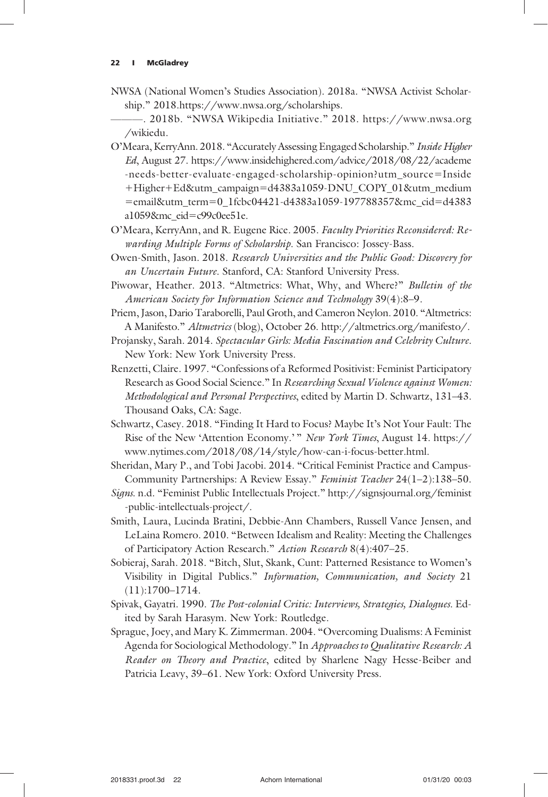- NWSA (National Women's Studies Association). 2018a. "NWSA Activist Scholarship." 2018.https://www.nwsa.org/scholarships.
- ———. 2018b. "NWSA Wikipedia Initiative." 2018. https://www.nwsa.org /wikiedu.
- O'Meara, KerryAnn. 2018. "Accurately Assessing Engaged Scholarship." Inside Higher Ed, August 27. https://www.insidehighered.com/advice/2018/08/22/academe -needs-better-evaluate-engaged-scholarship-opinion?utm\_source=Inside +Higher+Ed&utm\_campaign=d4383a1059-DNU\_COPY\_01&utm\_medium =email&utm\_term=0\_1fcbc04421-d4383a1059-197788357&mc\_cid=d4383 a1059&mc\_eid=c99c0ee51e.
- O'Meara, KerryAnn, and R. Eugene Rice. 2005. Faculty Priorities Reconsidered: Rewarding Multiple Forms of Scholarship. San Francisco: Jossey-Bass.
- Owen-Smith, Jason. 2018. Research Universities and the Public Good: Discovery for an Uncertain Future. Stanford, CA: Stanford University Press.
- Piwowar, Heather. 2013. "Altmetrics: What, Why, and Where?" Bulletin of the American Society for Information Science and Technology 39(4):8–9.
- Priem, Jason, Dario Taraborelli, Paul Groth, and Cameron Neylon. 2010. "Altmetrics: A Manifesto." Altmetrics (blog), October 26. http://altmetrics.org/manifesto/.
- Projansky, Sarah. 2014. Spectacular Girls: Media Fascination and Celebrity Culture. New York: New York University Press.
- Renzetti, Claire. 1997. "Confessions of a Reformed Positivist: Feminist Participatory Research as Good Social Science." In Researching Sexual Violence against Women: Methodological and Personal Perspectives, edited by Martin D. Schwartz, 131–43. Thousand Oaks, CA: Sage.
- Schwartz, Casey. 2018. "Finding It Hard to Focus? Maybe It's Not Your Fault: The Rise of the New 'Attention Economy.' " New York Times, August 14. https:// www.nytimes.com/2018/08/14/style/how-can-i-focus-better.html.
- Sheridan, Mary P., and Tobi Jacobi. 2014. "Critical Feminist Practice and Campus-Community Partnerships: A Review Essay." Feminist Teacher 24(1–2):138–50.
- Signs. n.d. "Feminist Public Intellectuals Project." http://signsjournal.org/feminist -public-intellectuals-project/.
- Smith, Laura, Lucinda Bratini, Debbie-Ann Chambers, Russell Vance Jensen, and LeLaina Romero. 2010. "Between Idealism and Reality: Meeting the Challenges of Participatory Action Research." Action Research 8(4):407–25.
- Sobieraj, Sarah. 2018. "Bitch, Slut, Skank, Cunt: Patterned Resistance to Women's Visibility in Digital Publics." Information, Communication, and Society 21 (11):1700–1714.
- Spivak, Gayatri. 1990. The Post-colonial Critic: Interviews, Strategies, Dialogues. Edited by Sarah Harasym. New York: Routledge.
- Sprague, Joey, and Mary K. Zimmerman. 2004. "Overcoming Dualisms: A Feminist Agenda for Sociological Methodology." In Approaches to Qualitative Research: A Reader on Theory and Practice, edited by Sharlene Nagy Hesse-Beiber and Patricia Leavy, 39–61. New York: Oxford University Press.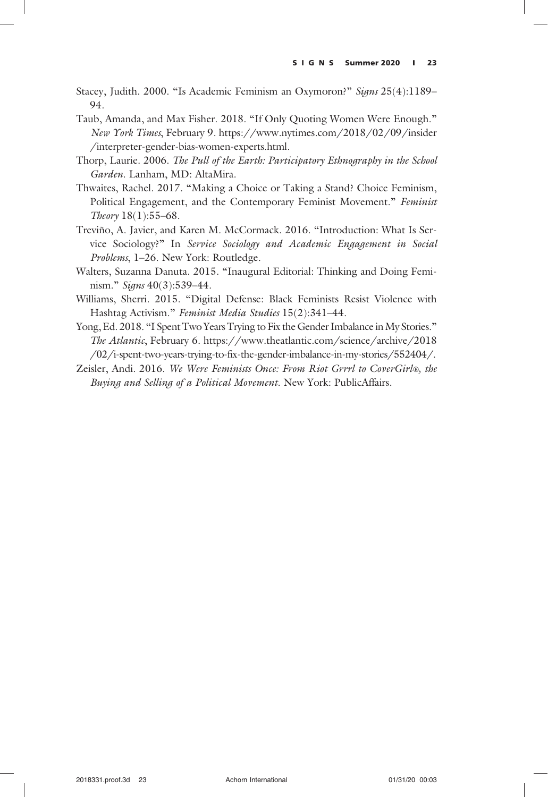- Stacey, Judith. 2000. "Is Academic Feminism an Oxymoron?" Signs 25(4):1189-94.
- Taub, Amanda, and Max Fisher. 2018. "If Only Quoting Women Were Enough." New York Times, February 9. https://www.nytimes.com/2018/02/09/insider /interpreter-gender-bias-women-experts.html.
- Thorp, Laurie. 2006. The Pull of the Earth: Participatory Ethnography in the School Garden. Lanham, MD: AltaMira.
- Thwaites, Rachel. 2017. "Making a Choice or Taking a Stand? Choice Feminism, Political Engagement, and the Contemporary Feminist Movement." Feminist Theory 18(1):55–68.
- Treviño, A. Javier, and Karen M. McCormack. 2016. "Introduction: What Is Service Sociology?" In Service Sociology and Academic Engagement in Social Problems, 1–26. New York: Routledge.
- Walters, Suzanna Danuta. 2015. "Inaugural Editorial: Thinking and Doing Feminism." Signs 40(3):539-44.
- Williams, Sherri. 2015. "Digital Defense: Black Feminists Resist Violence with Hashtag Activism." Feminist Media Studies 15(2):341–44.
- Yong, Ed. 2018. "I Spent Two Years Trying to Fix the Gender Imbalance in My Stories." The Atlantic, February 6. https://www.theatlantic.com/science/archive/2018 /02/i-spent-two-years-trying-to-fix-the-gender-imbalance-in-my-stories/552404/.
- Zeisler, Andi. 2016. We Were Feminists Once: From Riot Grrrl to CoverGirl®, the Buying and Selling of a Political Movement. New York: PublicAffairs.